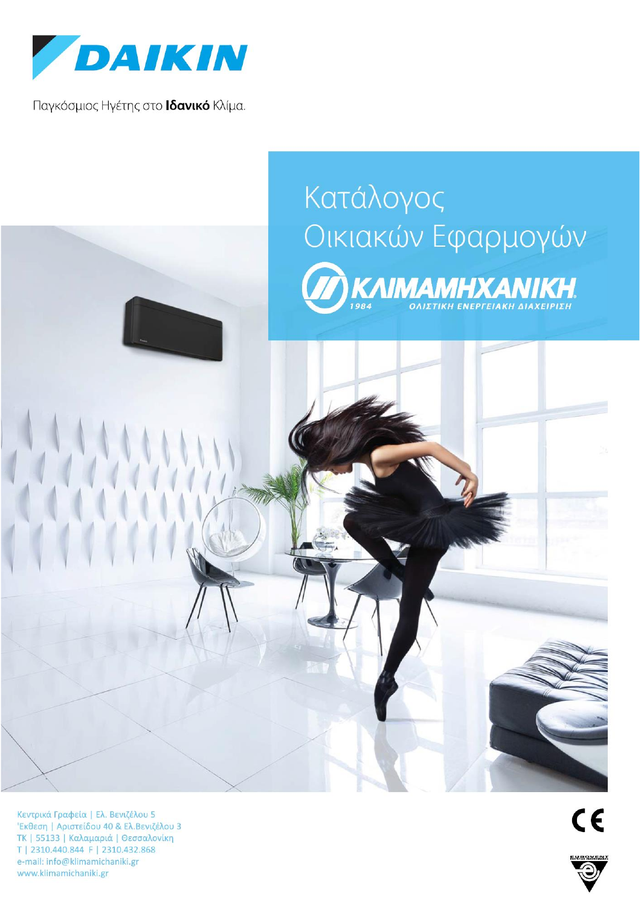

Παγκόσμιος Ηγέτης στο Ιδανικό Κλίμα.

## Κατάλογος Οικιακών Εφαρμογών **TAIMAMHXANIKH**

Κεντρικά Γραφεία | Ελ. Βενιζέλου 5 'Εκθεση | Αριστείδου 40 & Ελ.Βενιζέλου 3 ΤΚ | 55133 | Καλαμαριά | Θεσσαλονίκη T | 2310.440.844 F | 2310.432.868 e-mail: info@klimamichaniki.gr www.klimamichaniki.gr

 $C \in$ 

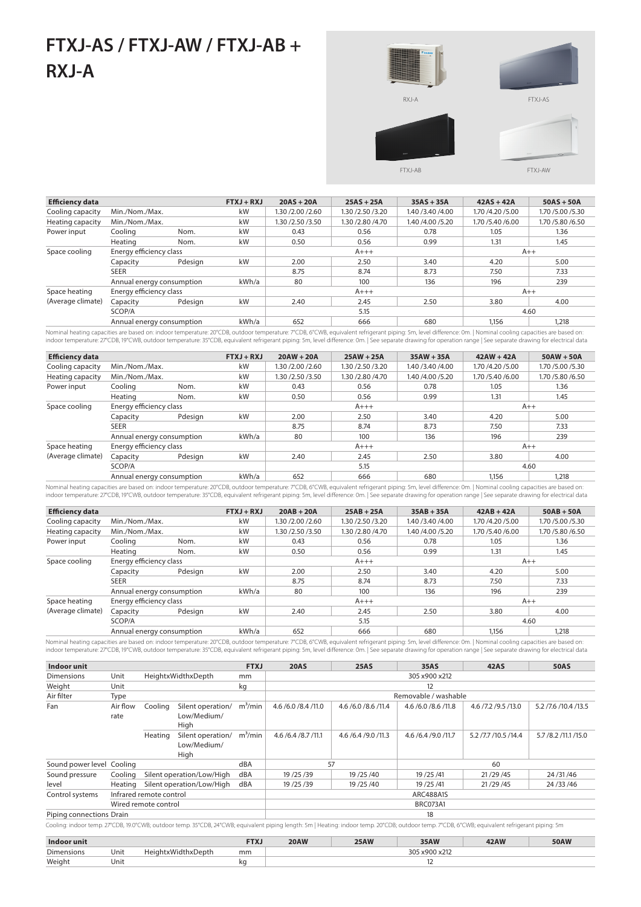## **FTXJ-AS / FTXJ-AW / FTXJ-AB + RXJ-A**







FTXJ-AB

FTXJ-AW

| <b>Efficiency data</b> |                           |         | $FTXJ + RXJ$ | $20AS + 20A$       | $25AS + 25A$       | $35AS + 35A$       | $42AS + 42A$       | $50AS + 50A$       |
|------------------------|---------------------------|---------|--------------|--------------------|--------------------|--------------------|--------------------|--------------------|
| Cooling capacity       | Min./Nom./Max.            |         | kW           | 1.30 / 2.00 / 2.60 | 1.30 / 2.50 / 3.20 | 1.40 / 3.40 / 4.00 | 1.70 /4.20 /5.00   | 1.70 / 5.00 / 5.30 |
| Heating capacity       | Min./Nom./Max.            |         | kW           | 1.30 / 2.50 / 3.50 | 1.30 / 2.80 / 4.70 | 1.40 /4.00 /5.20   | 1.70 / 5.40 / 6.00 | 1.70 / 5.80 / 6.50 |
| Power input            | Cooling                   | Nom.    | kW           | 0.43               | 0.56               | 0.78               | 1.05               | 1.36               |
|                        | Heating                   | Nom.    | kW           | 0.50               | 0.56               | 0.99               | 1.31               | 1.45               |
| Space cooling          | Energy efficiency class   |         |              | $A+++$             |                    |                    | $A++$              |                    |
|                        | Capacity                  | Pdesign | kW           | 2.00               | 2.50               | 3.40               | 4.20               | 5.00               |
|                        | <b>SEER</b>               |         |              | 8.75               | 8.74               | 8.73               | 7.50               | 7.33               |
|                        | Annual energy consumption |         | kWh/a        | 80                 | 100                | 136                | 196                | 239                |
| Space heating          | Energy efficiency class   |         |              | $A+++$             |                    |                    | $A++$              |                    |
| (Average climate)      | Capacity                  | Pdesign | kW           | 2.40               | 2.45               | 2.50               | 3.80               | 4.00               |
|                        | SCOP/A                    |         |              | 5.15               |                    |                    | 4.60               |                    |
|                        | Annual energy consumption |         | kWh/a        | 652                | 666                | 680                | 1.156              | 1,218              |

Nominal heating capacities are based on: indoor temperature: 20°CDB, outdoor temperature: 7°CDB, 6°CWB, equivalent refrigerant piping: 5m, level difference: 0m. | Nominal cooling capacities are based on:<br>indoor temperature

| <b>Efficiency data</b> |                                    |         | $FTXJ + RXJ$ | $20AW + 20A$       | $25AW + 25A$       | $35AW + 35A$       | $42AW + 42A$       | $50AW + 50A$       |
|------------------------|------------------------------------|---------|--------------|--------------------|--------------------|--------------------|--------------------|--------------------|
| Cooling capacity       | Min./Nom./Max.                     |         | kW           | 1.30 / 2.00 / 2.60 | 1.30 /2.50 /3.20   | 1.40 / 3.40 / 4.00 | 1.70 /4.20 /5.00   | 1.70 /5.00 /5.30   |
| Heating capacity       | Min./Nom./Max.                     |         | kW           | 1.30 / 2.50 / 3.50 | 1.30 / 2.80 / 4.70 | 1.40 /4.00 /5.20   | 1.70 / 5.40 / 6.00 | 1.70 / 5.80 / 6.50 |
| Power input            | Cooling                            | Nom.    | kW           | 0.43               | 0.56               | 0.78               | 1.05               | 1.36               |
|                        | Heating<br>Nom.                    |         | kW           | 0.50               | 0.56               | 0.99               | 1.31               | 1.45               |
| Space cooling          | Energy efficiency class            |         |              |                    | $A+++$             | $A++$              |                    |                    |
|                        | Capacity                           | Pdesign | kW           | 2.00               | 2.50               | 3.40               | 4.20               | 5.00               |
|                        | <b>SEER</b>                        |         |              | 8.75               | 8.74               | 8.73               | 7.50               | 7.33               |
|                        | Annual energy consumption          |         | kWh/a        | 80                 | 100                | 136                | 196                | 239                |
| Space heating          | Energy efficiency class            |         |              |                    | $A+++$             |                    |                    | $A++$              |
| (Average climate)      | Capacity                           | Pdesign | kW           | 2.40               | 2.45               | 2.50               | 3.80               | 4.00               |
|                        | SCOP/A                             |         |              |                    | 5.15               | 4.60               |                    |                    |
|                        | kWh/a<br>Annual energy consumption |         |              | 652                | 666                | 680                | 1.156              | 1.218              |

Nominal heating capacities are based on: indoor temperature: 20°CDB, outdoor temperature: 7°CDB, 6°CWB, equivalent refrigerant piping: 5m, level difference: 0m. | Nominal cooling capacities are based on:<br>indoor temperature

| <b>Efficiency data</b> |                           |         | $FTXJ + RXJ$ | $20AB + 20A$       | $25AB + 25A$       | $35AB + 35A$       | $42AB + 42A$     | $50AB + 50A$       |
|------------------------|---------------------------|---------|--------------|--------------------|--------------------|--------------------|------------------|--------------------|
| Cooling capacity       | Min./Nom./Max.            |         | kW           | 1.30 / 2.00 / 2.60 | 1.30 / 2.50 / 3.20 | 1.40 / 3.40 / 4.00 | 1.70 /4.20 /5.00 | 1.70 / 5.00 / 5.30 |
| Heating capacity       | Min./Nom./Max.            |         | kW           | 1.30 / 2.50 / 3.50 | 1.30 / 2.80 / 4.70 | 1.40 /4.00 /5.20   | 1.70 /5.40 /6.00 | 1.70 / 5.80 / 6.50 |
| Power input            | Cooling                   | Nom.    | kW           | 0.43               | 0.56               | 0.78               | 1.05             | 1.36               |
|                        | Heating                   | Nom.    | kW           | 0.50               | 0.56               | 0.99               | 1.31             | 1.45               |
| Space cooling          | Energy efficiency class   |         |              |                    | $A+++$             | $A++$              |                  |                    |
|                        | Capacity                  | Pdesign | kW           | 2.00               | 2.50               | 3.40               | 4.20             | 5.00               |
|                        | <b>SEER</b>               |         |              | 8.75               | 8.74               | 8.73               | 7.50             | 7.33               |
|                        | Annual energy consumption |         | kWh/a        | 80                 | 100                | 136                | 196              | 239                |
| Space heating          | Energy efficiency class   |         |              |                    | $A+++$             |                    |                  | $A++$              |
| (Average climate)      | Capacity                  | Pdesign | kW           | 2.40               | 2.45               | 2.50               | 3.80             | 4.00               |
|                        | SCOP/A                    |         |              | 5.15               |                    |                    | 4.60             |                    |
|                        | Annual energy consumption |         | kWh/a        | 652                | 666                | 680                | 1,156            | 1,218              |

Nominal heating capacities are based on: indoor temperature: 20°CDB, outdoor temperature: 7°CDB, 6°CWB, equivalent refrigerant piping: 5m, level difference: 0m. | Nominal cooling capacities are based on:<br>indoor temperature

| Indoor unit<br><b>FTXJ</b> |                  |                         |                                          |            | <b>20AS</b>            | <b>25AS</b>         | 35AS                   | <b>42AS</b>          | <b>50AS</b>             |  |  |  |
|----------------------------|------------------|-------------------------|------------------------------------------|------------|------------------------|---------------------|------------------------|----------------------|-------------------------|--|--|--|
| <b>Dimensions</b>          | Unit             |                         | HeightxWidthxDepth                       | mm         | 305 x900 x212          |                     |                        |                      |                         |  |  |  |
| Weight                     | Unit             |                         |                                          | kg         |                        | 12                  |                        |                      |                         |  |  |  |
| Air filter                 | Type             |                         |                                          |            |                        |                     | Removable / washable   |                      |                         |  |  |  |
| Fan                        | Air flow<br>rate | Cooling                 | Silent operation/<br>Low/Medium/<br>High | $m^3/m$ in | 4.6 / 6.0 / 8.4 / 11.0 | 4.6 /6.0 /8.6 /11.4 | 4.6 / 6.0 / 8.6 / 11.8 | 4.6 /7.2 /9.5 /13.0  | 5.2 / 7.6 / 10.4 / 13.5 |  |  |  |
|                            |                  | Heating                 | Silent operation/<br>Low/Medium/<br>High | $m^3/m$ in | 4.6 / 6.4 / 8.7 / 11.1 | 4.6 /6.4 /9.0 /11.3 | 4.6 /6.4 /9.0 /11.7    | 5.2 /7.7 /10.5 /14.4 | 5.7 / 8.2 / 11.1 / 15.0 |  |  |  |
| Sound power level          | Cooling          |                         |                                          | dBA        |                        | 57<br>60            |                        |                      |                         |  |  |  |
| Sound pressure             | Cooling          |                         | Silent operation/Low/High                | dBA        | 19/25/39               | 19/25/40            | 19 / 25 / 41           | 21/29/45             | 24/31/46                |  |  |  |
| level                      | Heating          |                         | Silent operation/Low/High                | dBA        | 19/25/39               | 19/25/40            | 19 / 25 / 41           | 21/29/45             | 24/33/46                |  |  |  |
| Control systems            |                  | Infrared remote control |                                          |            | ARC488A1S              |                     |                        |                      |                         |  |  |  |
|                            |                  | Wired remote control    |                                          |            | <b>BRC073A1</b>        |                     |                        |                      |                         |  |  |  |
| Piping connections Drain   |                  |                         |                                          |            | 18                     |                     |                        |                      |                         |  |  |  |

Cooling: indoor temp. 27°CDB, 19.0°CWB; outdoor temp. 35°CDB, 24°CWB; equivalent piping length: 5m | Heating: indoor temp. 20°CDB; outdoor temp. 7°CDB, 6°CWB; equivalent refrigerant piping: 5m

| Indoor unit |      |                         | TVI<br>$\mathbf{1}$ | <b>20AW</b> | <b>25AW</b> | 35AW                     | <b>42AW</b> | <b>50AW</b> |
|-------------|------|-------------------------|---------------------|-------------|-------------|--------------------------|-------------|-------------|
| Dimensions  | Unit | lidthy[<br>Jepth<br>ıah | mm                  |             |             | : vann vi<br>305<br>x212 |             |             |
| Weight      | Unit |                         | ĸс                  |             |             | ∸                        |             |             |